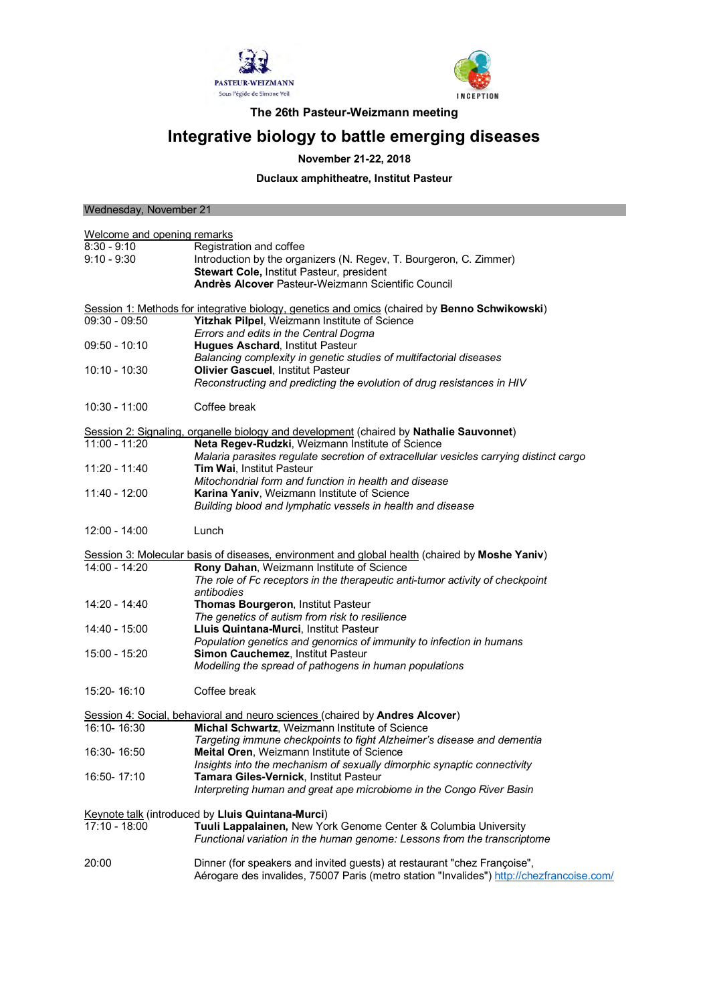



**The 26th Pasteur-Weizmann meeting**

## **Integrative biology to battle emerging diseases**

## **November 21-22, 2018**

**Duclaux amphitheatre, Institut Pasteur**

| Wednesday, November 21      |                                                                                                |
|-----------------------------|------------------------------------------------------------------------------------------------|
|                             |                                                                                                |
| Welcome and opening remarks |                                                                                                |
| 8:30 - 9:10                 | Registration and coffee                                                                        |
| $9:10 - 9:30$               | Introduction by the organizers (N. Regev, T. Bourgeron, C. Zimmer)                             |
|                             | Stewart Cole, Institut Pasteur, president                                                      |
|                             | Andrès Alcover Pasteur-Weizmann Scientific Council                                             |
|                             | Session 1: Methods for integrative biology, genetics and omics (chaired by Benno Schwikowski)  |
| 09:30 - 09:50               | Yitzhak Pilpel, Weizmann Institute of Science                                                  |
|                             | Errors and edits in the Central Dogma                                                          |
| 09:50 - 10:10               | <b>Hugues Aschard, Institut Pasteur</b>                                                        |
|                             | Balancing complexity in genetic studies of multifactorial diseases                             |
| 10:10 - 10:30               | Olivier Gascuel, Institut Pasteur                                                              |
|                             | Reconstructing and predicting the evolution of drug resistances in HIV                         |
| 10:30 - 11:00               | Coffee break                                                                                   |
|                             | Session 2: Signaling, organelle biology and development (chaired by Nathalie Sauvonnet)        |
| 11:00 - 11:20               | Neta Regev-Rudzki, Weizmann Institute of Science                                               |
|                             | Malaria parasites regulate secretion of extracellular vesicles carrying distinct cargo         |
| 11:20 - 11:40               | Tim Wai, Institut Pasteur                                                                      |
|                             | Mitochondrial form and function in health and disease                                          |
| 11:40 - 12:00               | Karina Yaniv, Weizmann Institute of Science                                                    |
|                             | Building blood and lymphatic vessels in health and disease                                     |
| $12:00 - 14:00$             | Lunch                                                                                          |
|                             | Session 3: Molecular basis of diseases, environment and global health (chaired by Moshe Yaniv) |
| 14:00 - 14:20               | Rony Dahan, Weizmann Institute of Science                                                      |
|                             | The role of Fc receptors in the therapeutic anti-tumor activity of checkpoint                  |
|                             | antibodies                                                                                     |
| 14:20 - 14:40               | Thomas Bourgeron, Institut Pasteur                                                             |
|                             | The genetics of autism from risk to resilience                                                 |
| 14:40 - 15:00               | Lluis Quintana-Murci, Institut Pasteur                                                         |
|                             | Population genetics and genomics of immunity to infection in humans                            |
| 15:00 - 15:20               | Simon Cauchemez, Institut Pasteur                                                              |
|                             | Modelling the spread of pathogens in human populations                                         |
| 15:20-16:10                 | Coffee break                                                                                   |
|                             | Session 4: Social, behavioral and neuro sciences (chaired by Andres Alcover)                   |
| 16:10-16:30                 | <b>Michal Schwartz, Weizmann Institute of Science</b>                                          |
|                             | Targeting immune checkpoints to fight Alzheimer's disease and dementia                         |
| 16:30-16:50                 | <b>Meital Oren, Weizmann Institute of Science</b>                                              |
|                             | Insights into the mechanism of sexually dimorphic synaptic connectivity                        |
| 16:50-17:10                 | Tamara Giles-Vernick, Institut Pasteur                                                         |
|                             | Interpreting human and great ape microbiome in the Congo River Basin                           |
|                             |                                                                                                |
|                             | <b>Keynote talk (introduced by Lluis Quintana-Murci)</b>                                       |
| 17:10 - 18:00               | Tuuli Lappalainen, New York Genome Center & Columbia University                                |
|                             | Functional variation in the human genome: Lessons from the transcriptome                       |
| 20:00                       | Dinner (for speakers and invited guests) at restaurant "chez Françoise",                       |
|                             | Aérogare des invalides, 75007 Paris (metro station "Invalides") http://chezfrancoise.com/      |
|                             |                                                                                                |